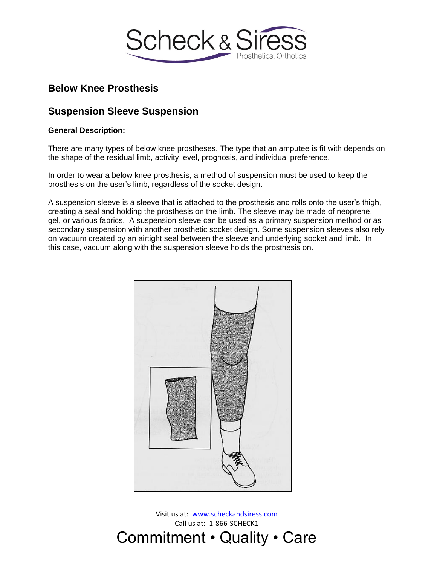

# **Below Knee Prosthesis**

# **Suspension Sleeve Suspension**

### **General Description:**

There are many types of below knee prostheses. The type that an amputee is fit with depends on the shape of the residual limb, activity level, prognosis, and individual preference.

In order to wear a below knee prosthesis, a method of suspension must be used to keep the prosthesis on the user's limb, regardless of the socket design.

A suspension sleeve is a sleeve that is attached to the prosthesis and rolls onto the user's thigh, creating a seal and holding the prosthesis on the limb. The sleeve may be made of neoprene, gel, or various fabrics. A suspension sleeve can be used as a primary suspension method or as secondary suspension with another prosthetic socket design. Some suspension sleeves also rely on vacuum created by an airtight seal between the sleeve and underlying socket and limb. In this case, vacuum along with the suspension sleeve holds the prosthesis on.



Visit us at: [www.scheckandsiress.com](http://www.scheckandsiress.com/) Call us at: 1-866-SCHECK1 Commitment • Quality • Care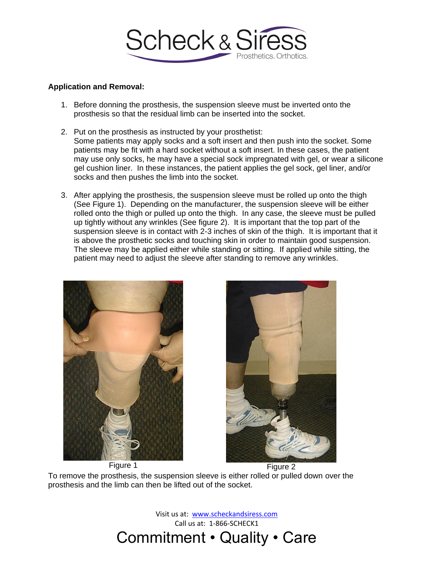

#### **Application and Removal:**

- 1. Before donning the prosthesis, the suspension sleeve must be inverted onto the prosthesis so that the residual limb can be inserted into the socket.
- 2. Put on the prosthesis as instructed by your prosthetist: Some patients may apply socks and a soft insert and then push into the socket. Some patients may be fit with a hard socket without a soft insert. In these cases, the patient may use only socks, he may have a special sock impregnated with gel, or wear a silicone gel cushion liner. In these instances, the patient applies the gel sock, gel liner, and/or socks and then pushes the limb into the socket.
- 3. After applying the prosthesis, the suspension sleeve must be rolled up onto the thigh (See Figure 1). Depending on the manufacturer, the suspension sleeve will be either rolled onto the thigh or pulled up onto the thigh. In any case, the sleeve must be pulled up tightly without any wrinkles (See figure 2). It is important that the top part of the suspension sleeve is in contact with 2-3 inches of skin of the thigh. It is important that it is above the prosthetic socks and touching skin in order to maintain good suspension. The sleeve may be applied either while standing or sitting. If applied while sitting, the patient may need to adjust the sleeve after standing to remove any wrinkles.





To remove the prosthesis, the suspension sleeve is either rolled or pulled down over the prosthesis and the limb can then be lifted out of the socket.

Visit us at: [www.scheckandsiress.com](http://www.scheckandsiress.com/) Call us at: 1-866-SCHECK1 Commitment • Quality • Care